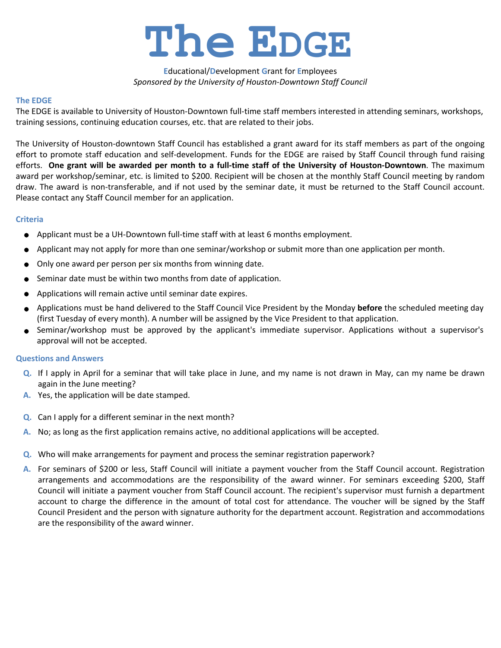

## **E**ducational/**D**evelopment **G**rant for **E**mployees *Sponsored by the University of Houston-Downtown Staff Council*

## **The EDGE**

The EDGE is available to University of Houston-Downtown full-time staff members interested in attending seminars, workshops, training sessions, continuing education courses, etc. that are related to their jobs.

The University of Houston-downtown Staff Council has established a grant award for its staff members as part of the ongoing effort to promote staff education and self-development. Funds for the EDGE are raised by Staff Council through fund raising efforts. **One grant will be awarded per month to a full-time staff of the University of Houston-Downtown**. The maximum award per workshop/seminar, etc. is limited to \$200. Recipient will be chosen at the monthly Staff Council meeting by random draw. The award is non-transferable, and if not used by the seminar date, it must be returned to the Staff Council account. Please contact any Staff Council member for an application.

## **Criteria**

- Applicant must be a UH-Downtown full-time staff with at least 6 months employment.
- Applicant may not apply for more than one seminar/workshop or submit more than one application per month.
- Only one award per person per six months from winning date.
- Seminar date must be within two months from date of application.  $\bullet$
- Applications will remain active until seminar date expires.
- Applications must be hand delivered to the Staff Council Vice President by the Monday **before** the scheduled meeting day (first Tuesday of every month). A number will be assigned by the Vice President to that application.
- Seminar/workshop must be approved by the applicant's immediate supervisor. Applications without a supervisor's approval will not be accepted.

## **Questions and Answers**

- Q. If I apply in April for a seminar that will take place in June, and my name is not drawn in May, can my name be drawn again in the June meeting?
- **A.** Yes, the application will be date stamped.
- **Q.** Can I apply for a different seminar in the next month?
- **A.** No; as long as the first application remains active, no additional applications will be accepted.
- **Q.** Who will make arrangements for payment and process the seminar registration paperwork?
- A. For seminars of \$200 or less, Staff Council will initiate a payment voucher from the Staff Council account. Registration arrangements and accommodations are the responsibility of the award winner. For seminars exceeding \$200, Staff Council will initiate a payment voucher from Staff Council account. The recipient's supervisor must furnish a department account to charge the difference in the amount of total cost for attendance. The voucher will be signed by the Staff Council President and the person with signature authority for the department account. Registration and accommodations are the responsibility of the award winner.